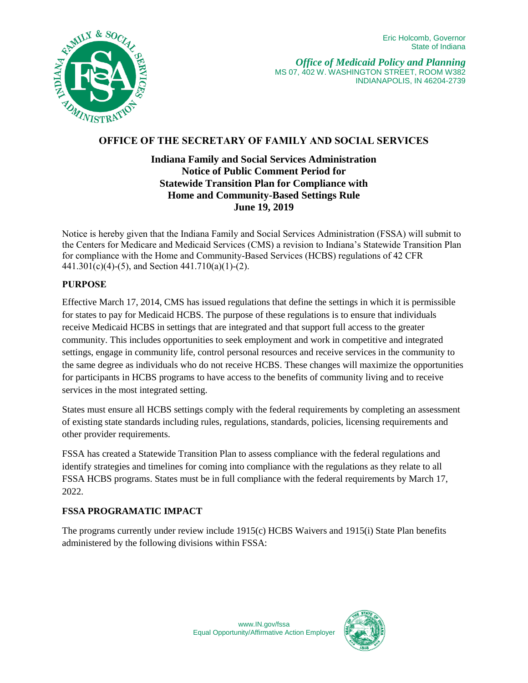

# **OFFICE OF THE SECRETARY OF FAMILY AND SOCIAL SERVICES**

# **Indiana Family and Social Services Administration Notice of Public Comment Period for Statewide Transition Plan for Compliance with Home and Community-Based Settings Rule June 19, 2019**

Notice is hereby given that the Indiana Family and Social Services Administration (FSSA) will submit to the Centers for Medicare and Medicaid Services (CMS) a revision to Indiana's Statewide Transition Plan for compliance with the Home and Community-Based Services (HCBS) regulations of 42 CFR 441.301(c)(4)-(5), and Section  $441.710(a)(1)-(2)$ .

## **PURPOSE**

Effective March 17, 2014, CMS has issued regulations that define the settings in which it is permissible for states to pay for Medicaid HCBS. The purpose of these regulations is to ensure that individuals receive Medicaid HCBS in settings that are integrated and that support full access to the greater community. This includes opportunities to seek employment and work in competitive and integrated settings, engage in community life, control personal resources and receive services in the community to the same degree as individuals who do not receive HCBS. These changes will maximize the opportunities for participants in HCBS programs to have access to the benefits of community living and to receive services in the most integrated setting.

States must ensure all HCBS settings comply with the federal requirements by completing an assessment of existing state standards including rules, regulations, standards, policies, licensing requirements and other provider requirements.

FSSA has created a Statewide Transition Plan to assess compliance with the federal regulations and identify strategies and timelines for coming into compliance with the regulations as they relate to all FSSA HCBS programs. States must be in full compliance with the federal requirements by March 17, 2022.

#### **FSSA PROGRAMATIC IMPACT**

The programs currently under review include 1915(c) HCBS Waivers and 1915(i) State Plan benefits administered by the following divisions within FSSA: